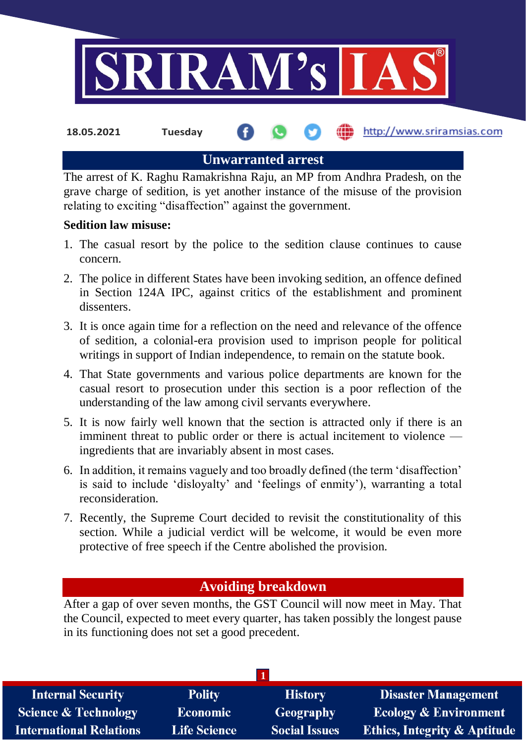

**Unwarranted arrest**

The arrest of K. Raghu Ramakrishna Raju, an MP from Andhra Pradesh, on the grave charge of sedition, is yet another instance of the misuse of the provision relating to exciting "disaffection" against the government.

#### **Sedition law misuse:**

- 1. The casual resort by the police to the sedition clause continues to cause concern.
- 2. The police in different States have been invoking sedition, an offence defined in Section 124A IPC, against critics of the establishment and prominent dissenters.
- 3. It is once again time for a reflection on the need and relevance of the offence of sedition, a colonial-era provision used to imprison people for political writings in support of Indian independence, to remain on the statute book.
- 4. That State governments and various police departments are known for the casual resort to prosecution under this section is a poor reflection of the understanding of the law among civil servants everywhere.
- 5. It is now fairly well known that the section is attracted only if there is an imminent threat to public order or there is actual incitement to violence ingredients that are invariably absent in most cases.
- 6. In addition, it remains vaguely and too broadly defined (the term 'disaffection' is said to include 'disloyalty' and 'feelings of enmity'), warranting a total reconsideration.
- 7. Recently, the Supreme Court decided to revisit the constitutionality of this section. While a judicial verdict will be welcome, it would be even more protective of free speech if the Centre abolished the provision.

# **Avoiding breakdown**

After a gap of over seven months, the GST Council will now meet in May. That the Council, expected to meet every quarter, has taken possibly the longest pause in its functioning does not set a good precedent.

| <b>Internal Security</b>        | <b>Polity</b>       | <b>History</b>       | <b>Disaster Management</b>              |
|---------------------------------|---------------------|----------------------|-----------------------------------------|
| <b>Science &amp; Technology</b> | <b>Economic</b>     | Geography            | <b>Ecology &amp; Environment</b>        |
| <b>International Relations</b>  | <b>Life Science</b> | <b>Social Issues</b> | <b>Ethics, Integrity &amp; Aptitude</b> |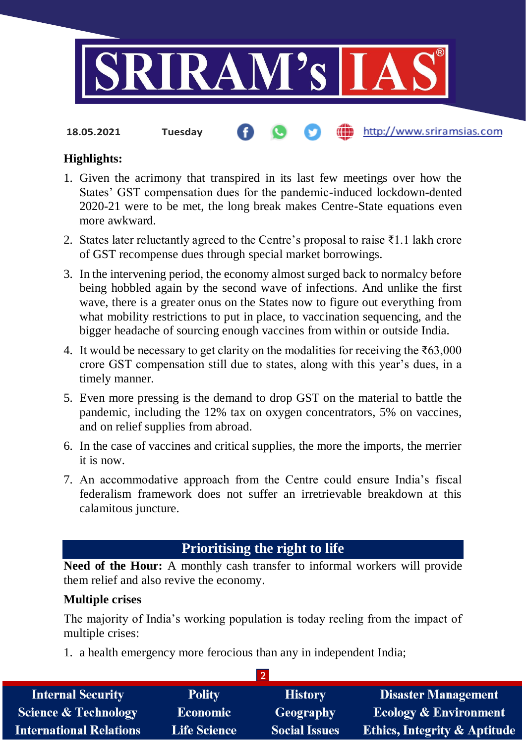

**18.05.2021 Tuesday**

## http://www.sriramsias.com

# **Highlights:**

- 1. Given the acrimony that transpired in its last few meetings over how the States' GST compensation dues for the pandemic-induced lockdown-dented 2020-21 were to be met, the long break makes Centre-State equations even more awkward.
- 2. States later reluctantly agreed to the Centre's proposal to raise ₹1.1 lakh crore of GST recompense dues through special market borrowings.
- 3. In the intervening period, the economy almost surged back to normalcy before being hobbled again by the second wave of infections. And unlike the first wave, there is a greater onus on the States now to figure out everything from what mobility restrictions to put in place, to vaccination sequencing, and the bigger headache of sourcing enough vaccines from within or outside India.
- 4. It would be necessary to get clarity on the modalities for receiving the  $\text{\textless}63,000$ crore GST compensation still due to states, along with this year's dues, in a timely manner.
- 5. Even more pressing is the demand to drop GST on the material to battle the pandemic, including the 12% tax on oxygen concentrators, 5% on vaccines, and on relief supplies from abroad.
- 6. In the case of vaccines and critical supplies, the more the imports, the merrier it is now.
- 7. An accommodative approach from the Centre could ensure India's fiscal federalism framework does not suffer an irretrievable breakdown at this calamitous juncture.

# **Prioritising the right to life**

**Need of the Hour:** A monthly cash transfer to informal workers will provide them relief and also revive the economy.

### **Multiple crises**

The majority of India's working population is today reeling from the impact of multiple crises:

1. a health emergency more ferocious than any in independent India;

| <b>Internal Security</b>        | <b>Polity</b>       | <b>History</b>       | <b>Disaster Management</b>              |
|---------------------------------|---------------------|----------------------|-----------------------------------------|
| <b>Science &amp; Technology</b> | <b>Economic</b>     | Geography            | <b>Ecology &amp; Environment</b>        |
| <b>International Relations</b>  | <b>Life Science</b> | <b>Social Issues</b> | <b>Ethics, Integrity &amp; Aptitude</b> |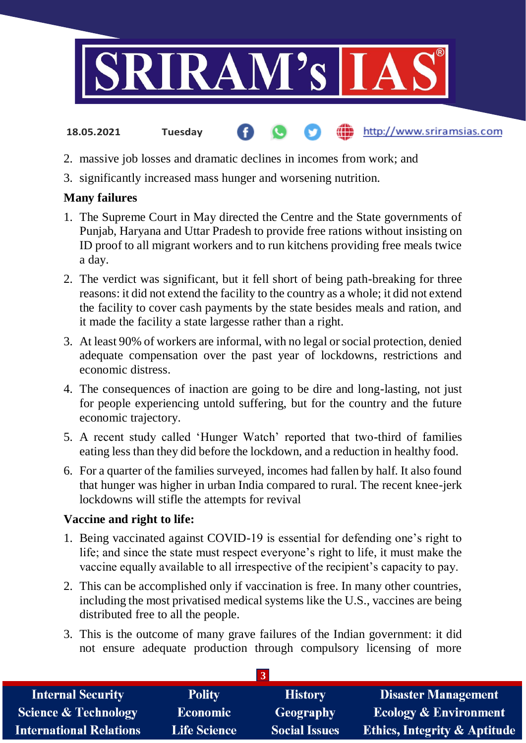

#### http://www.sriramsias.com **18.05.2021 Tuesday**

- 2. massive job losses and dramatic declines in incomes from work; and
- 3. significantly increased mass hunger and worsening nutrition.

# **Many failures**

- 1. The Supreme Court in May directed the Centre and the State governments of Punjab, Haryana and Uttar Pradesh to provide free rations without insisting on ID proof to all migrant workers and to run kitchens providing free meals twice a day.
- 2. The verdict was significant, but it fell short of being path-breaking for three reasons: it did not extend the facility to the country as a whole; it did not extend the facility to cover cash payments by the state besides meals and ration, and it made the facility a state largesse rather than a right.
- 3. At least 90% of workers are informal, with no legal or social protection, denied adequate compensation over the past year of lockdowns, restrictions and economic distress.
- 4. The consequences of inaction are going to be dire and long-lasting, not just for people experiencing untold suffering, but for the country and the future economic trajectory.
- 5. A recent study called 'Hunger Watch' reported that two-third of families eating less than they did before the lockdown, and a reduction in healthy food.
- 6. For a quarter of the families surveyed, incomes had fallen by half. It also found that hunger was higher in urban India compared to rural. The recent knee-jerk lockdowns will stifle the attempts for revival

### **Vaccine and right to life:**

- 1. Being vaccinated against COVID-19 is essential for defending one's right to life; and since the state must respect everyone's right to life, it must make the vaccine equally available to all irrespective of the recipient's capacity to pay.
- 2. This can be accomplished only if vaccination is free. In many other countries, including the most privatised medical systems like the U.S., vaccines are being distributed free to all the people.
- 3. This is the outcome of many grave failures of the Indian government: it did not ensure adequate production through compulsory licensing of more

| <b>Internal Security</b>        | <b>Polity</b>       | <b>History</b>       | <b>Disaster Management</b>              |  |
|---------------------------------|---------------------|----------------------|-----------------------------------------|--|
| <b>Science &amp; Technology</b> | <b>Economic</b>     | Geography            | <b>Ecology &amp; Environment</b>        |  |
| <b>International Relations</b>  | <b>Life Science</b> | <b>Social Issues</b> | <b>Ethics, Integrity &amp; Aptitude</b> |  |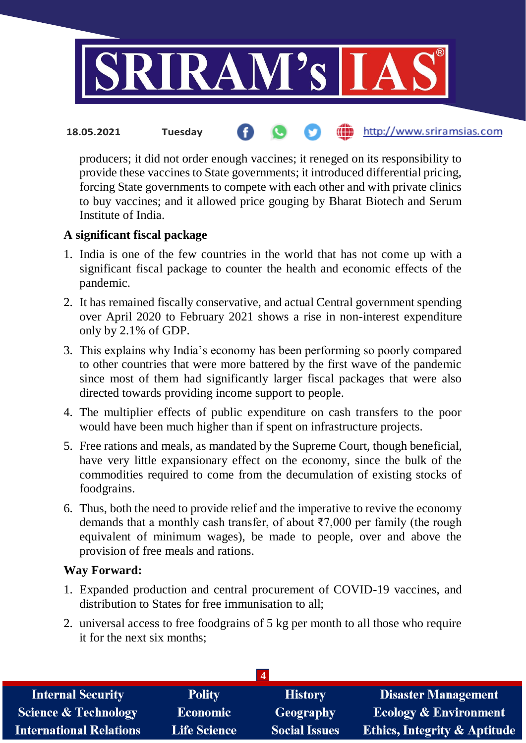

http://www.sriramsias.com **18.05.2021 Tuesday**

producers; it did not order enough vaccines; it reneged on its responsibility to provide these vaccines to State governments; it introduced differential pricing, forcing State governments to compete with each other and with private clinics to buy vaccines; and it allowed price gouging by Bharat Biotech and Serum Institute of India.

## **A significant fiscal package**

- 1. India is one of the few countries in the world that has not come up with a significant fiscal package to counter the health and economic effects of the pandemic.
- 2. It has remained fiscally conservative, and actual Central government spending over April 2020 to February 2021 shows a rise in non-interest expenditure only by 2.1% of GDP.
- 3. This explains why India's economy has been performing so poorly compared to other countries that were more battered by the first wave of the pandemic since most of them had significantly larger fiscal packages that were also directed towards providing income support to people.
- 4. The multiplier effects of public expenditure on cash transfers to the poor would have been much higher than if spent on infrastructure projects.
- 5. Free rations and meals, as mandated by the Supreme Court, though beneficial, have very little expansionary effect on the economy, since the bulk of the commodities required to come from the decumulation of existing stocks of foodgrains.
- 6. Thus, both the need to provide relief and the imperative to revive the economy demands that a monthly cash transfer, of about ₹7,000 per family (the rough equivalent of minimum wages), be made to people, over and above the provision of free meals and rations.

### **Way Forward:**

- 1. Expanded production and central procurement of COVID-19 vaccines, and distribution to States for free immunisation to all;
- 2. universal access to free foodgrains of 5 kg per month to all those who require it for the next six months;

| <b>Internal Security</b>        | <b>Polity</b>       | <b>History</b>       | <b>Disaster Management</b>              |  |
|---------------------------------|---------------------|----------------------|-----------------------------------------|--|
| <b>Science &amp; Technology</b> | <b>Economic</b>     | <b>Geography</b>     | <b>Ecology &amp; Environment</b>        |  |
| <b>International Relations</b>  | <b>Life Science</b> | <b>Social Issues</b> | <b>Ethics, Integrity &amp; Aptitude</b> |  |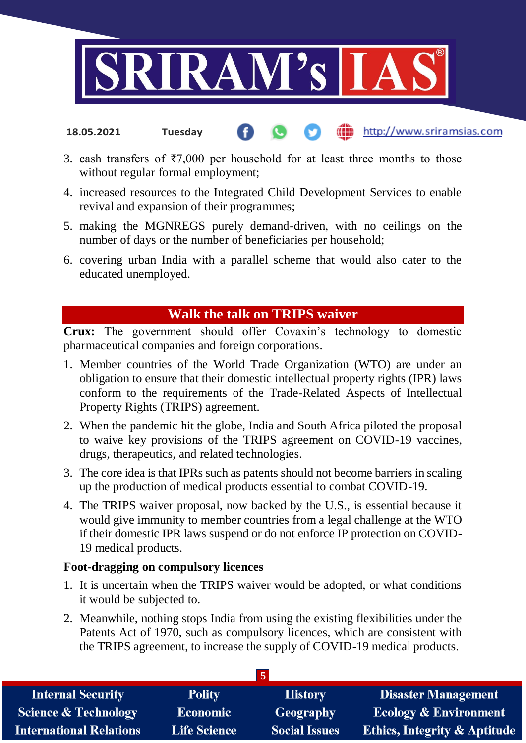

- http://www.sriramsias.com **18.05.2021 Tuesday**
- 3. cash transfers of  $\overline{57,000}$  per household for at least three months to those without regular formal employment;
- 4. increased resources to the Integrated Child Development Services to enable revival and expansion of their programmes;
- 5. making the MGNREGS purely demand-driven, with no ceilings on the number of days or the number of beneficiaries per household;
- 6. covering urban India with a parallel scheme that would also cater to the educated unemployed.

# **Walk the talk on TRIPS waiver**

**Crux:** The government should offer Covaxin's technology to domestic pharmaceutical companies and foreign corporations.

- 1. Member countries of the World Trade Organization (WTO) are under an obligation to ensure that their domestic intellectual property rights (IPR) laws conform to the requirements of the Trade-Related Aspects of Intellectual Property Rights (TRIPS) agreement.
- 2. When the pandemic hit the globe, India and South Africa piloted the proposal to waive key provisions of the TRIPS agreement on COVID-19 vaccines, drugs, therapeutics, and related technologies.
- 3. The core idea is that IPRs such as patents should not become barriers in scaling up the production of medical products essential to combat COVID-19.
- 4. The TRIPS waiver proposal, now backed by the U.S., is essential because it would give immunity to member countries from a legal challenge at the WTO if their domestic IPR laws suspend or do not enforce IP protection on COVID-19 medical products.

### **Foot-dragging on compulsory licences**

- 1. It is uncertain when the TRIPS waiver would be adopted, or what conditions it would be subjected to.
- 2. Meanwhile, nothing stops India from using the existing flexibilities under the Patents Act of 1970, such as compulsory licences, which are consistent with the TRIPS agreement, to increase the supply of COVID-19 medical products.

| <b>Internal Security</b>        | <b>Polity</b>       | <b>History</b>       | <b>Disaster Management</b>              |
|---------------------------------|---------------------|----------------------|-----------------------------------------|
| <b>Science &amp; Technology</b> | <b>Economic</b>     | Geography            | <b>Ecology &amp; Environment</b>        |
| <b>International Relations</b>  | <b>Life Science</b> | <b>Social Issues</b> | <b>Ethics, Integrity &amp; Aptitude</b> |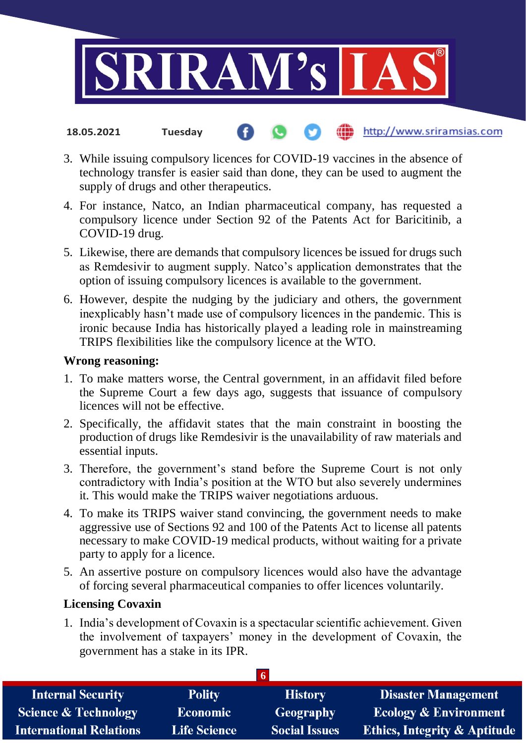

#### http://www.sriramsias.com **18.05.2021 Tuesday**

- 3. While issuing compulsory licences for COVID-19 vaccines in the absence of technology transfer is easier said than done, they can be used to augment the supply of drugs and other therapeutics.
- 4. For instance, Natco, an Indian pharmaceutical company, has requested a compulsory licence under Section 92 of the Patents Act for Baricitinib, a COVID-19 drug.
- 5. Likewise, there are demands that compulsory licences be issued for drugs such as Remdesivir to augment supply. Natco's application demonstrates that the option of issuing compulsory licences is available to the government.
- 6. However, despite the nudging by the judiciary and others, the government inexplicably hasn't made use of compulsory licences in the pandemic. This is ironic because India has historically played a leading role in mainstreaming TRIPS flexibilities like the compulsory licence at the WTO.

#### **Wrong reasoning:**

- 1. To make matters worse, the Central government, in an affidavit filed before the Supreme Court a few days ago, suggests that issuance of compulsory licences will not be effective.
- 2. Specifically, the affidavit states that the main constraint in boosting the production of drugs like Remdesivir is the unavailability of raw materials and essential inputs.
- 3. Therefore, the government's stand before the Supreme Court is not only contradictory with India's position at the WTO but also severely undermines it. This would make the TRIPS waiver negotiations arduous.
- 4. To make its TRIPS waiver stand convincing, the government needs to make aggressive use of Sections 92 and 100 of the Patents Act to license all patents necessary to make COVID-19 medical products, without waiting for a private party to apply for a licence.
- 5. An assertive posture on compulsory licences would also have the advantage of forcing several pharmaceutical companies to offer licences voluntarily.

### **Licensing Covaxin**

1. India's development of Covaxin is a spectacular scientific achievement. Given the involvement of taxpayers' money in the development of Covaxin, the government has a stake in its IPR.

| <b>Internal Security</b>        | <b>Polity</b>       | <b>History</b>       | <b>Disaster Management</b>              |  |
|---------------------------------|---------------------|----------------------|-----------------------------------------|--|
| <b>Science &amp; Technology</b> | <b>Economic</b>     | Geography            | <b>Ecology &amp; Environment</b>        |  |
| <b>International Relations</b>  | <b>Life Science</b> | <b>Social Issues</b> | <b>Ethics, Integrity &amp; Aptitude</b> |  |